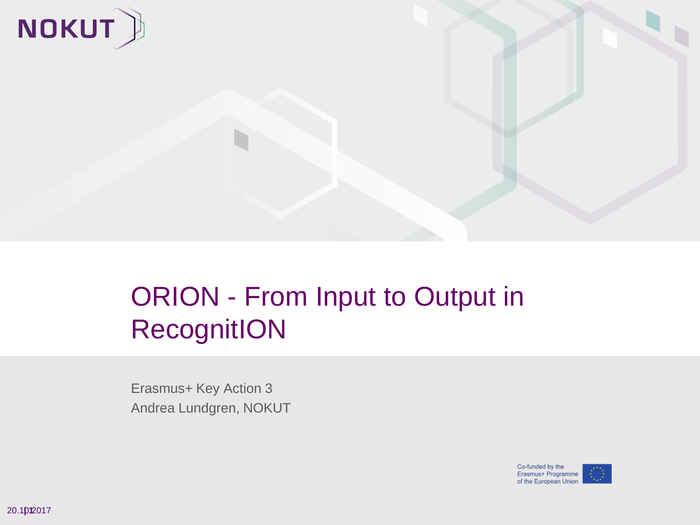

### ORION - From Input to Output in **RecognitION**

Erasmus+ Key Action 3 Andrea Lundgren, NOKUT

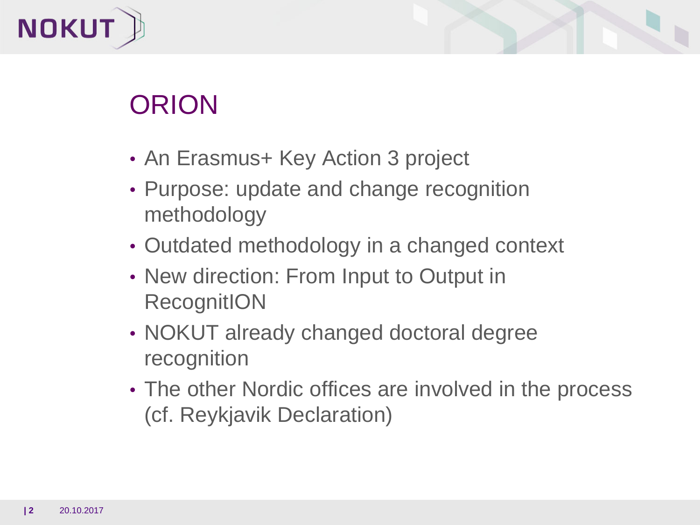



# ORION

- An Erasmus+ Key Action 3 project
- Purpose: update and change recognition methodology
- Outdated methodology in a changed context
- New direction: From Input to Output in RecognitION
- NOKUT already changed doctoral degree recognition
- The other Nordic offices are involved in the process (cf. Reykjavik Declaration)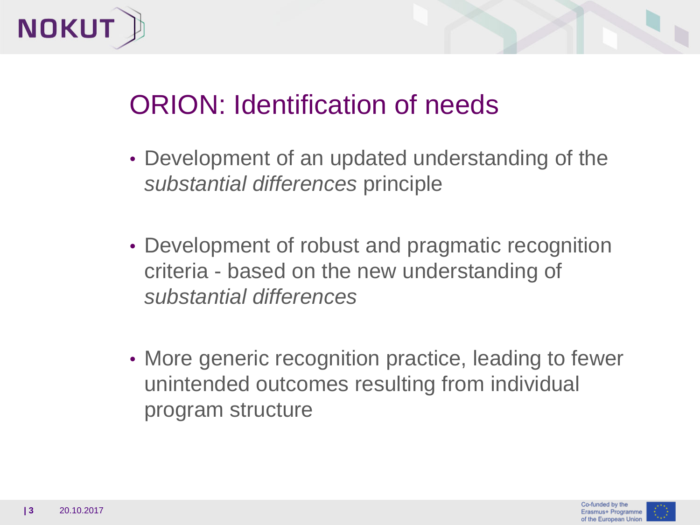



## ORION: Identification of needs

- Development of an updated understanding of the *substantial differences* principle
- Development of robust and pragmatic recognition criteria - based on the new understanding of *substantial differences*
- More generic recognition practice, leading to fewer unintended outcomes resulting from individual program structure

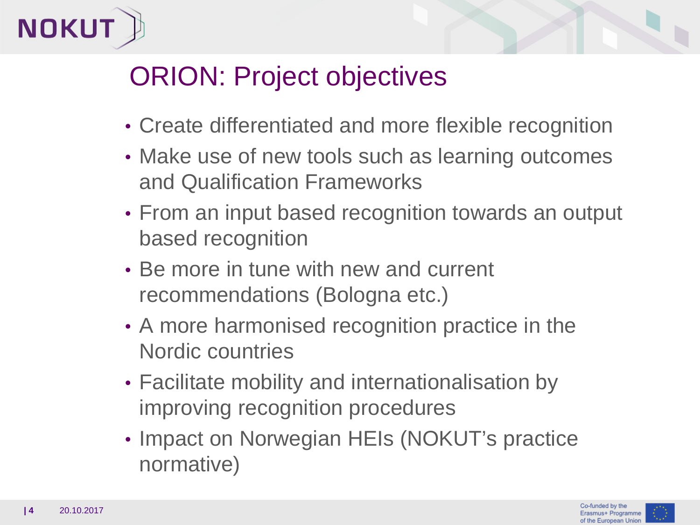



## ORION: Project objectives

- Create differentiated and more flexible recognition
- Make use of new tools such as learning outcomes and Qualification Frameworks
- From an input based recognition towards an output based recognition
- Be more in tune with new and current recommendations (Bologna etc.)
- A more harmonised recognition practice in the Nordic countries
- Facilitate mobility and internationalisation by improving recognition procedures
- Impact on Norwegian HEIs (NOKUT's practice normative)

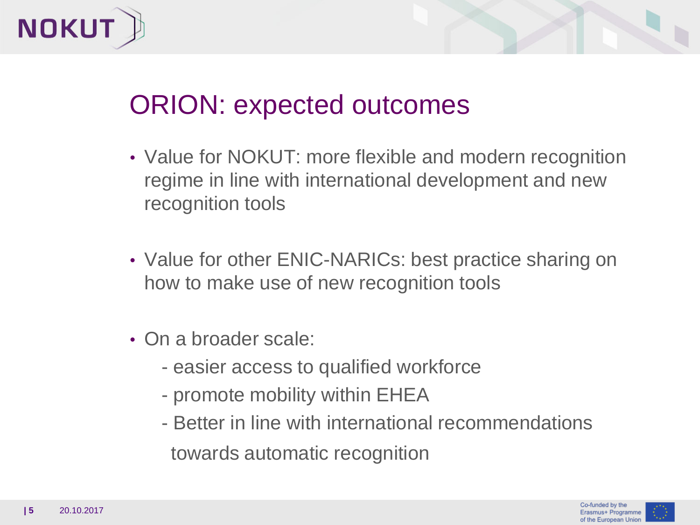



### ORION: expected outcomes

- Value for NOKUT: more flexible and modern recognition regime in line with international development and new recognition tools
- Value for other ENIC-NARICs: best practice sharing on how to make use of new recognition tools
- On a broader scale:
	- easier access to qualified workforce
	- promote mobility within EHEA
	- Better in line with international recommendations towards automatic recognition